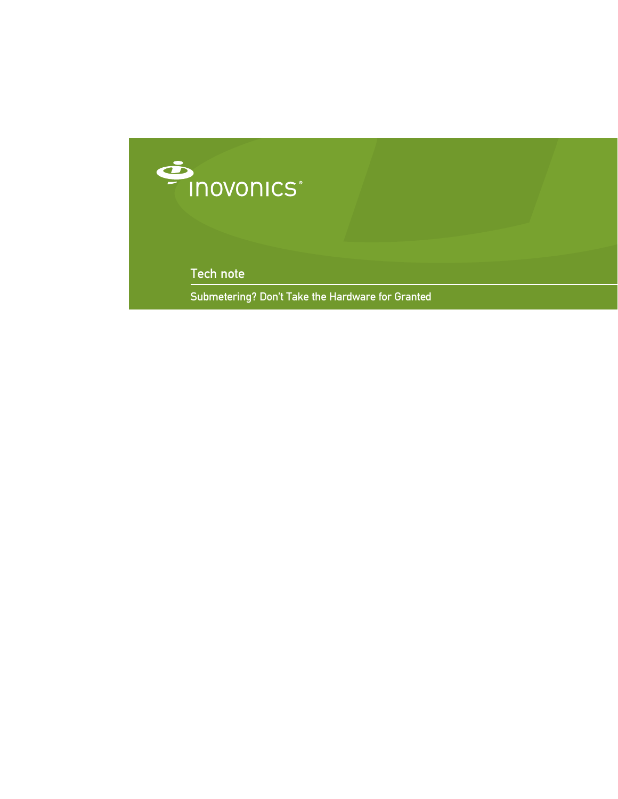

Tech note

Submetering? Don't Take the Hardware for Granted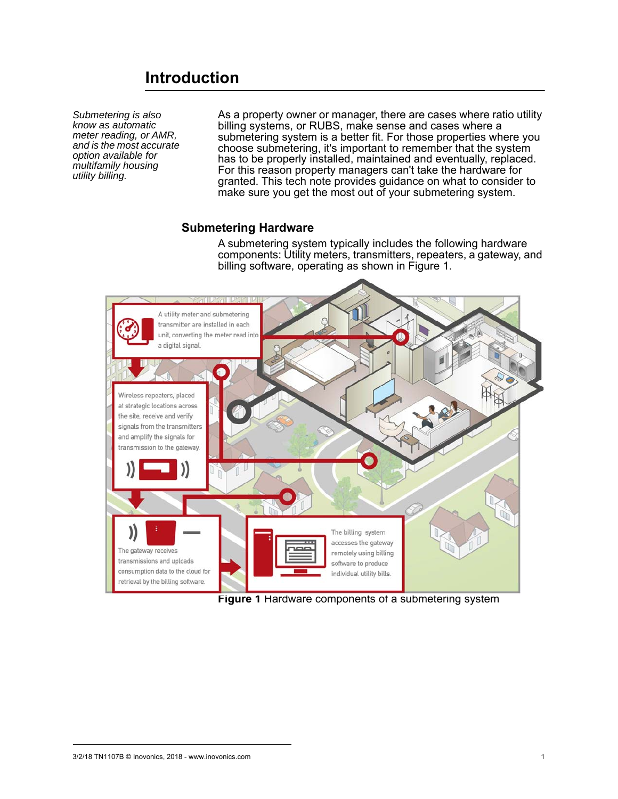# **Introduction**

*Submetering is also know as automatic meter reading, or AMR, and is the most accurate option available for multifamily housing utility billing.*

As a property owner or manager, there are cases where ratio utility billing systems, or RUBS, make sense and cases where a submetering system is a better fit. For those properties where you choose submetering, it's important to remember that the system has to be properly installed, maintained and eventually, replaced. For this reason property managers can't take the hardware for granted. This tech note provides guidance on what to consider to make sure you get the most out of your submetering system.

### **Submetering Hardware**

A submetering system typically includes the following hardware components: Utility meters, transmitters, repeaters, a gateway, and billing software, operating as shown in Figure 1.



**Figure 1** Hardware components of a submetering system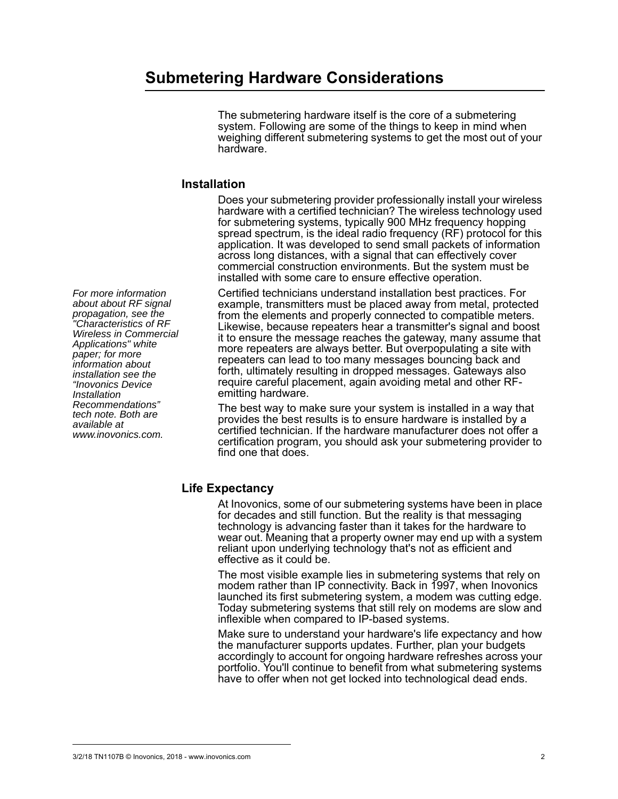#### *For more information about about RF signal propagation, see the "Characteristics of RF Wireless in Commercial Applications" white paper; for more information about installation see the "Inovonics Device Installation Recommendations" tech note. Both are available at www.inovonics.com.*

# **Submetering Hardware Considerations**

The submetering hardware itself is the core of a submetering system. Following are some of the things to keep in mind when weighing different submetering systems to get the most out of your hardware.

## **Installation**

Does your submetering provider professionally install your wireless hardware with a certified technician? The wireless technology used for submetering systems, typically 900 MHz frequency hopping spread spectrum, is the ideal radio frequency (RF) protocol for this application. It was developed to send small packets of information across long distances, with a signal that can effectively cover commercial construction environments. But the system must be installed with some care to ensure effective operation.

Certified technicians understand installation best practices. For example, transmitters must be placed away from metal, protected from the elements and properly connected to compatible meters. Likewise, because repeaters hear a transmitter's signal and boost it to ensure the message reaches the gateway, many assume that more repeaters are always better. But overpopulating a site with repeaters can lead to too many messages bouncing back and forth, ultimately resulting in dropped messages. Gateways also require careful placement, again avoiding metal and other RFemitting hardware.

The best way to make sure your system is installed in a way that provides the best results is to ensure hardware is installed by a certified technician. If the hardware manufacturer does not offer a certification program, you should ask your submetering provider to find one that does.

# **Life Expectancy**

At Inovonics, some of our submetering systems have been in place for decades and still function. But the reality is that messaging technology is advancing faster than it takes for the hardware to wear out. Meaning that a property owner may end up with a system reliant upon underlying technology that's not as efficient and effective as it could be.

The most visible example lies in submetering systems that rely on modem rather than IP connectivity. Back in 1997, when Inovonics launched its first submetering system, a modem was cutting edge.<br>Today submetering systems that still rely on modems are slow and inflexible when compared to IP-based systems.

Make sure to understand your hardware's life expectancy and how the manufacturer supports updates. Further, plan your budgets accordingly to account for ongoing hardware refreshes across your portfolio. You'll continue to benefit from what submetering systems have to offer when not get locked into technological dead ends.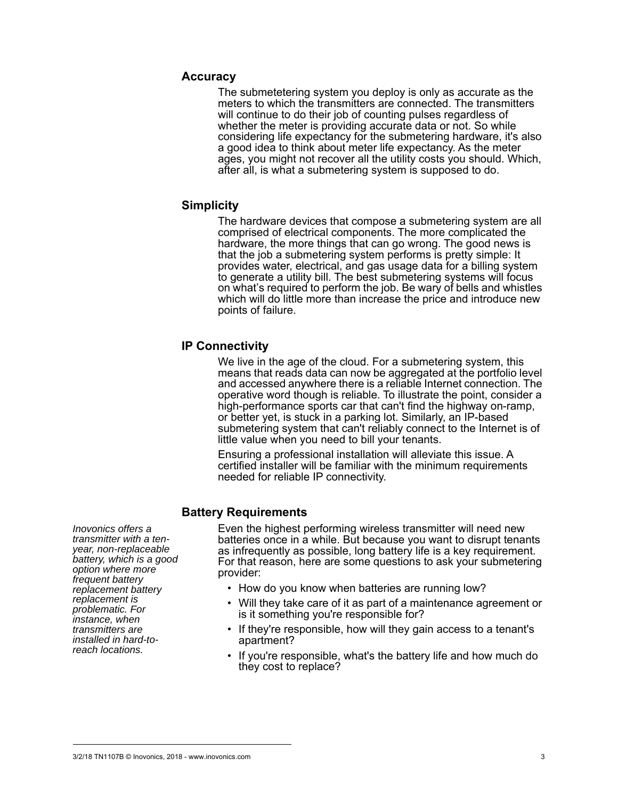#### **Accuracy**

The submetetering system you deploy is only as accurate as the meters to which the transmitters are connected. The transmitters will continue to do their job of counting pulses regardless of whether the meter is providing accurate data or not. So while considering life expectancy for the submetering hardware, it's also a good idea to think about meter life expectancy. As the meter ages, you might not recover all the utility costs you should. Which, after all, is what a submetering system is supposed to do.

#### **Simplicity**

The hardware devices that compose a submetering system are all comprised of electrical components. The more complicated the hardware, the more things that can go wrong. The good news is that the job a submetering system performs is pretty simple: It provides water, electrical, and gas usage data for a billing system to generate a utility bill. The best submetering systems will focus on what's required to perform the job. Be wary of bells and whistles which will do little more than increase the price and introduce new points of failure.

#### **IP Connectivity**

We live in the age of the cloud. For a submetering system, this means that reads data can now be aggregated at the portfolio level and accessed anywhere there is a reliable Internet connection. The operative word though is reliable. To illustrate the point, consider a high-performance sports car that can't find the highway on-ramp, or better yet, is stuck in a parking lot. Similarly, an IP-based submetering system that can't reliably connect to the Internet is of little value when you need to bill your tenants.

Ensuring a professional installation will alleviate this issue. A certified installer will be familiar with the minimum requirements needed for reliable IP connectivity.

### **Battery Requirements**

*Inovonics offers a transmitter with a tenyear, non-replaceable battery, which is a good option where more frequent battery replacement battery replacement is problematic. For instance, when transmitters are installed in hard-toreach locations.* 

Even the highest performing wireless transmitter will need new batteries once in a while. But because you want to disrupt tenants as infrequently as possible, long battery life is a key requirement. For that reason, here are some questions to ask your submetering provider:

- How do you know when batteries are running low?
- Will they take care of it as part of a maintenance agreement or is it something you're responsible for?
- If they're responsible, how will they gain access to a tenant's apartment?
- If you're responsible, what's the battery life and how much do they cost to replace?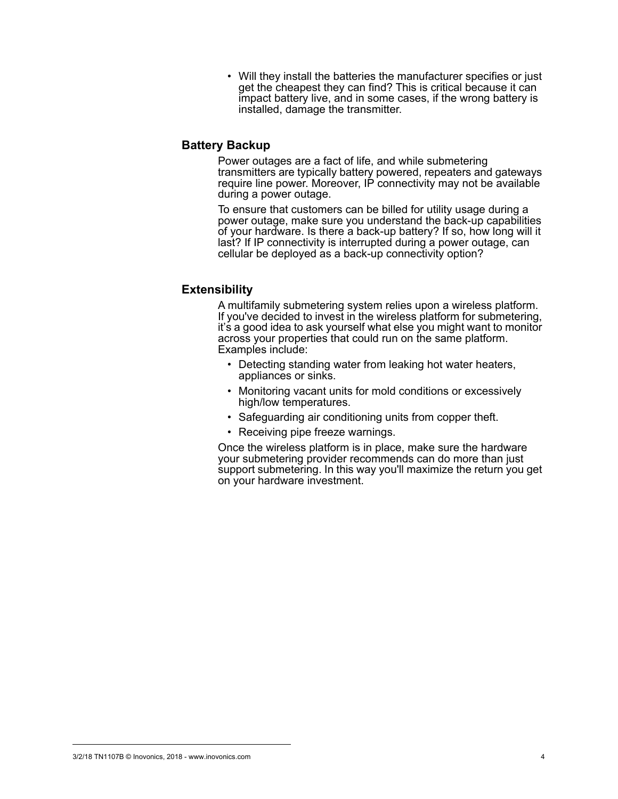• Will they install the batteries the manufacturer specifies or just get the cheapest they can find? This is critical because it can impact battery live, and in some cases, if the wrong battery is installed, damage the transmitter.

### **Battery Backup**

Power outages are a fact of life, and while submetering transmitters are typically battery powered, repeaters and gateways require line power. Moreover, IP connectivity may not be available during a power outage.

To ensure that customers can be billed for utility usage during a power outage, make sure you understand the back-up capabilities of your hardware. Is there a back-up battery? If so, how long will it last? If IP connectivity is interrupted during a power outage, can cellular be deployed as a back-up connectivity option?

### **Extensibility**

A multifamily submetering system relies upon a wireless platform. If you've decided to invest in the wireless platform for submetering, it's a good idea to ask yourself what else you might want to monitor across your properties that could run on the same platform. Examples include:

- Detecting standing water from leaking hot water heaters, appliances or sinks.
- Monitoring vacant units for mold conditions or excessively high/low temperatures.
- Safeguarding air conditioning units from copper theft.
- Receiving pipe freeze warnings.

Once the wireless platform is in place, make sure the hardware your submetering provider recommends can do more than just support submetering. In this way you'll maximize the return you get on your hardware investment.